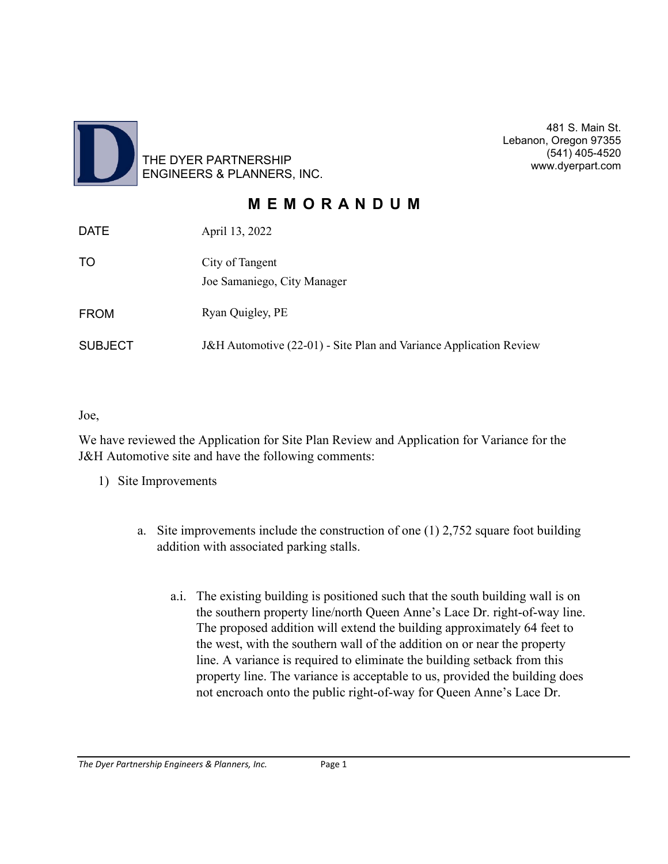

481 S. Main St. Lebanon, Oregon 97355 (541) 405-4520 www.dyerpart.com

## **M E M O R A N D U M**

| <b>DATE</b>    | April 13, 2022                                                     |
|----------------|--------------------------------------------------------------------|
| TO             | City of Tangent<br>Joe Samaniego, City Manager                     |
| <b>FROM</b>    | Ryan Quigley, PE                                                   |
| <b>SUBJECT</b> | J&H Automotive (22-01) - Site Plan and Variance Application Review |

Joe,

We have reviewed the Application for Site Plan Review and Application for Variance for the J&H Automotive site and have the following comments:

- 1) Site Improvements
	- a. Site improvements include the construction of one (1) 2,752 square foot building addition with associated parking stalls.
		- a.i. The existing building is positioned such that the south building wall is on the southern property line/north Queen Anne's Lace Dr. right-of-way line. The proposed addition will extend the building approximately 64 feet to the west, with the southern wall of the addition on or near the property line. A variance is required to eliminate the building setback from this property line. The variance is acceptable to us, provided the building does not encroach onto the public right-of-way for Queen Anne's Lace Dr.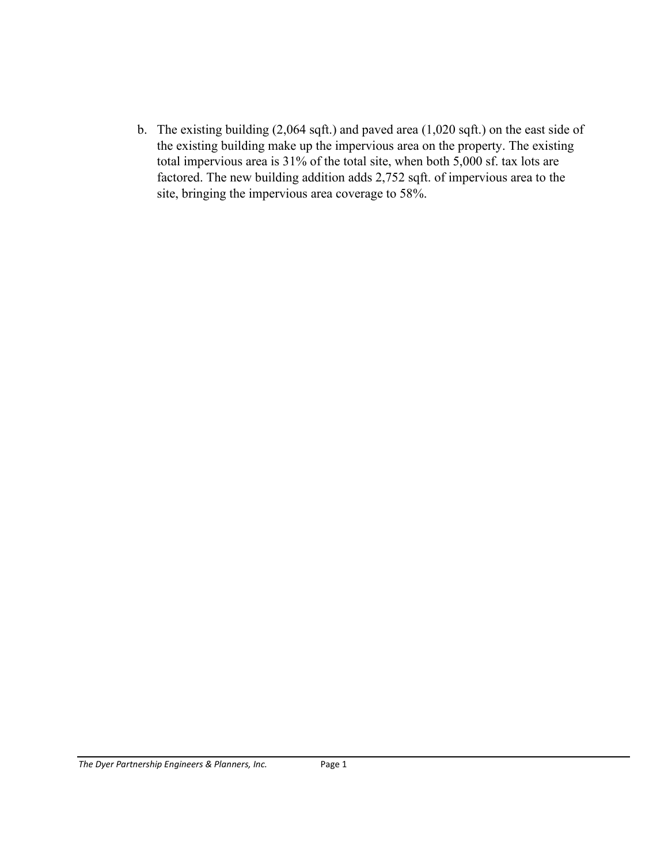b. The existing building (2,064 sqft.) and paved area (1,020 sqft.) on the east side of the existing building make up the impervious area on the property. The existing total impervious area is 31% of the total site, when both 5,000 sf. tax lots are factored. The new building addition adds 2,752 sqft. of impervious area to the site, bringing the impervious area coverage to 58%.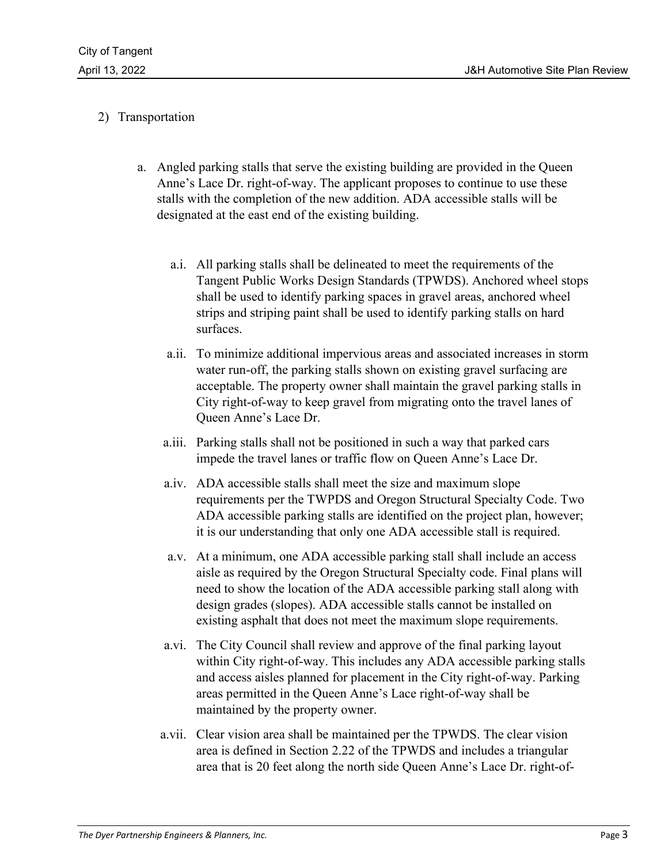## 2) Transportation

- a. Angled parking stalls that serve the existing building are provided in the Queen Anne's Lace Dr. right-of-way. The applicant proposes to continue to use these stalls with the completion of the new addition. ADA accessible stalls will be designated at the east end of the existing building.
	- a.i. All parking stalls shall be delineated to meet the requirements of the Tangent Public Works Design Standards (TPWDS). Anchored wheel stops shall be used to identify parking spaces in gravel areas, anchored wheel strips and striping paint shall be used to identify parking stalls on hard surfaces.
	- a.ii. To minimize additional impervious areas and associated increases in storm water run-off, the parking stalls shown on existing gravel surfacing are acceptable. The property owner shall maintain the gravel parking stalls in City right-of-way to keep gravel from migrating onto the travel lanes of Queen Anne's Lace Dr.
	- a.iii. Parking stalls shall not be positioned in such a way that parked cars impede the travel lanes or traffic flow on Queen Anne's Lace Dr.
	- a.iv. ADA accessible stalls shall meet the size and maximum slope requirements per the TWPDS and Oregon Structural Specialty Code. Two ADA accessible parking stalls are identified on the project plan, however; it is our understanding that only one ADA accessible stall is required.
	- a.v. At a minimum, one ADA accessible parking stall shall include an access aisle as required by the Oregon Structural Specialty code. Final plans will need to show the location of the ADA accessible parking stall along with design grades (slopes). ADA accessible stalls cannot be installed on existing asphalt that does not meet the maximum slope requirements.
	- a.vi. The City Council shall review and approve of the final parking layout within City right-of-way. This includes any ADA accessible parking stalls and access aisles planned for placement in the City right-of-way. Parking areas permitted in the Queen Anne's Lace right-of-way shall be maintained by the property owner.
	- a.vii. Clear vision area shall be maintained per the TPWDS. The clear vision area is defined in Section 2.22 of the TPWDS and includes a triangular area that is 20 feet along the north side Queen Anne's Lace Dr. right-of-